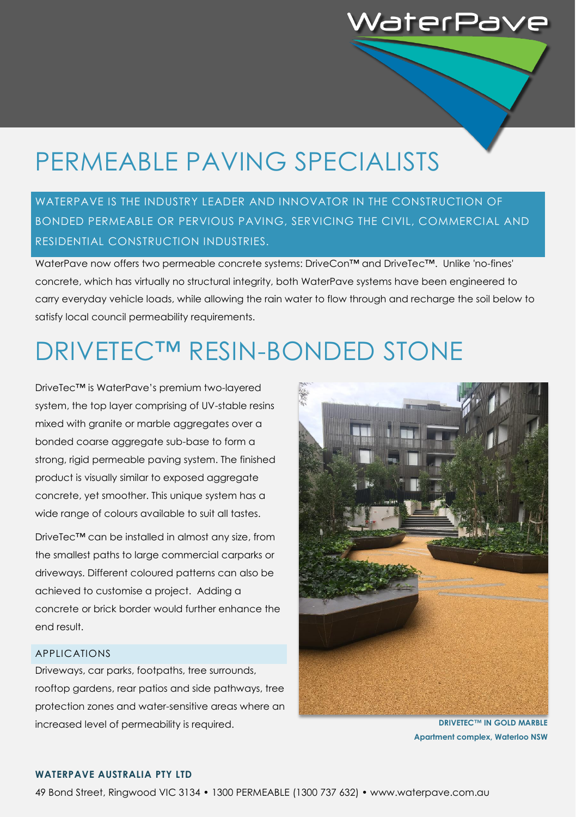# PERMEABLE PAVING SPECIALISTS

### WATERPAVE IS THE INDUSTRY LEADER AND INNOVATOR IN THE CONSTRUCTION OF BONDED PERMEABLE OR PERVIOUS PAVING, SERVICING THE CIVIL, COMMERCIAL AND RESIDENTIAL CONSTRUCTION INDUSTRIES.

WaterPave now offers two permeable concrete systems: DriveCon™ and DriveTec™. Unlike 'no-fines' concrete, which has virtually no structural integrity, both WaterPave systems have been engineered to carry everyday vehicle loads, while allowing the rain water to flow through and recharge the soil below to satisfy local council permeability requirements.

# DRIVETEC™ RESIN-BONDED STONE

DriveTec™ is WaterPave's premium two-layered system, the top layer comprising of UV-stable resins mixed with granite or marble aggregates over a bonded coarse aggregate sub-base to form a strong, rigid permeable paving system. The finished product is visually similar to exposed aggregate concrete, yet smoother. This unique system has a wide range of colours available to suit all tastes.

DriveTec™ can be installed in almost any size, from the smallest paths to large commercial carparks or driveways. Different coloured patterns can also be achieved to customise a project. Adding a concrete or brick border would further enhance the end result.

#### APPLICATIONS

Driveways, car parks, footpaths, tree surrounds, rooftop gardens, rear patios and side pathways, tree protection zones and water-sensitive areas where an increased level of permeability is required.



WaterPa

**DRIVETEC™ IN GOLD MARBLE Apartment complex, Waterloo NSW**

#### **WATERPAVE AUSTRALIA PTY LTD**